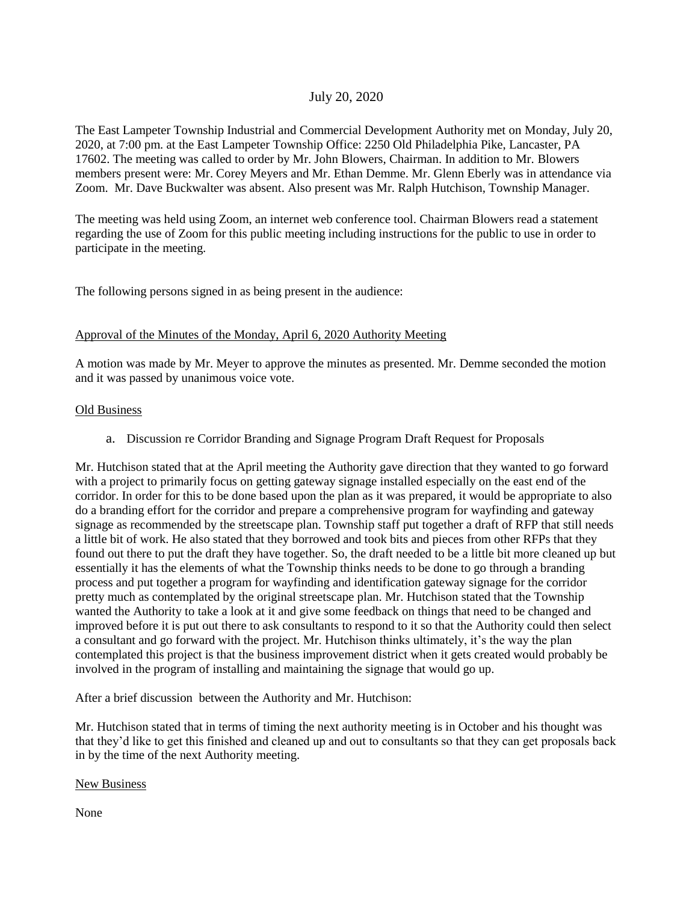# July 20, 2020

The East Lampeter Township Industrial and Commercial Development Authority met on Monday, July 20, 2020, at 7:00 pm. at the East Lampeter Township Office: 2250 Old Philadelphia Pike, Lancaster, PA 17602. The meeting was called to order by Mr. John Blowers, Chairman. In addition to Mr. Blowers members present were: Mr. Corey Meyers and Mr. Ethan Demme. Mr. Glenn Eberly was in attendance via Zoom. Mr. Dave Buckwalter was absent. Also present was Mr. Ralph Hutchison, Township Manager.

The meeting was held using Zoom, an internet web conference tool. Chairman Blowers read a statement regarding the use of Zoom for this public meeting including instructions for the public to use in order to participate in the meeting.

The following persons signed in as being present in the audience:

### Approval of the Minutes of the Monday, April 6, 2020 Authority Meeting

A motion was made by Mr. Meyer to approve the minutes as presented. Mr. Demme seconded the motion and it was passed by unanimous voice vote.

#### Old Business

a. Discussion re Corridor Branding and Signage Program Draft Request for Proposals

Mr. Hutchison stated that at the April meeting the Authority gave direction that they wanted to go forward with a project to primarily focus on getting gateway signage installed especially on the east end of the corridor. In order for this to be done based upon the plan as it was prepared, it would be appropriate to also do a branding effort for the corridor and prepare a comprehensive program for wayfinding and gateway signage as recommended by the streetscape plan. Township staff put together a draft of RFP that still needs a little bit of work. He also stated that they borrowed and took bits and pieces from other RFPs that they found out there to put the draft they have together. So, the draft needed to be a little bit more cleaned up but essentially it has the elements of what the Township thinks needs to be done to go through a branding process and put together a program for wayfinding and identification gateway signage for the corridor pretty much as contemplated by the original streetscape plan. Mr. Hutchison stated that the Township wanted the Authority to take a look at it and give some feedback on things that need to be changed and improved before it is put out there to ask consultants to respond to it so that the Authority could then select a consultant and go forward with the project. Mr. Hutchison thinks ultimately, it's the way the plan contemplated this project is that the business improvement district when it gets created would probably be involved in the program of installing and maintaining the signage that would go up.

After a brief discussion between the Authority and Mr. Hutchison:

Mr. Hutchison stated that in terms of timing the next authority meeting is in October and his thought was that they'd like to get this finished and cleaned up and out to consultants so that they can get proposals back in by the time of the next Authority meeting.

#### New Business

None